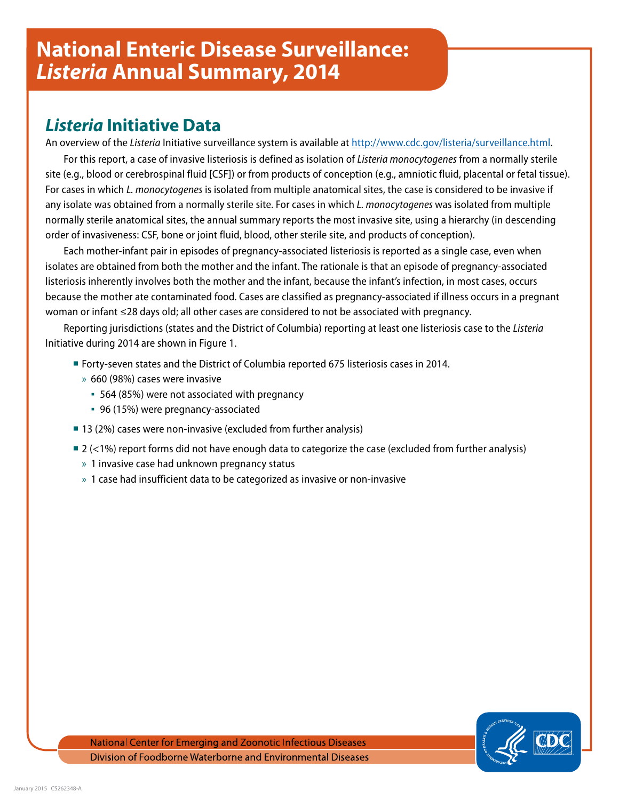# *Listeria* **Initiative Data**

An overview of the *Listeria* Initiative surveillance system is available at [http://www.cdc.gov/listeria/surveillance.html.](http://www.cdc.gov/listeria/surveillance.html)

For this report, a case of invasive listeriosis is defined as isolation of *Listeria monocytogenes* from a normally sterile site (e.g., blood or cerebrospinal fluid [CSF]) or from products of conception (e.g., amniotic fluid, placental or fetal tissue). For cases in which *L. monocytogenes* is isolated from multiple anatomical sites, the case is considered to be invasive if any isolate was obtained from a normally sterile site. For cases in which *L. monocytogenes* was isolated from multiple normally sterile anatomical sites, the annual summary reports the most invasive site, using a hierarchy (in descending order of invasiveness: CSF, bone or joint fluid, blood, other sterile site, and products of conception).

Each mother-infant pair in episodes of pregnancy-associated listeriosis is reported as a single case, even when isolates are obtained from both the mother and the infant. The rationale is that an episode of pregnancy-associated listeriosis inherently involves both the mother and the infant, because the infant's infection, in most cases, occurs because the mother ate contaminated food. Cases are classified as pregnancy-associated if illness occurs in a pregnant woman or infant ≤28 days old; all other cases are considered to not be associated with pregnancy.

Reporting jurisdictions (states and the District of Columbia) reporting at least one listeriosis case to the *Listeria* Initiative during 2014 are shown in Figure 1.

- Forty-seven states and the District of Columbia reported 675 listeriosis cases in 2014.
	- » 660 (98%) cases were invasive
		- 564 (85%) were not associated with pregnancy
		- 96 (15%) were pregnancy-associated
- 13 (2%) cases were non-invasive (excluded from further analysis)
- $2$  (<1%) report forms did not have enough data to categorize the case (excluded from further analysis)
	- » 1 invasive case had unknown pregnancy status
	- » 1 case had insufficient data to be categorized as invasive or non-invasive

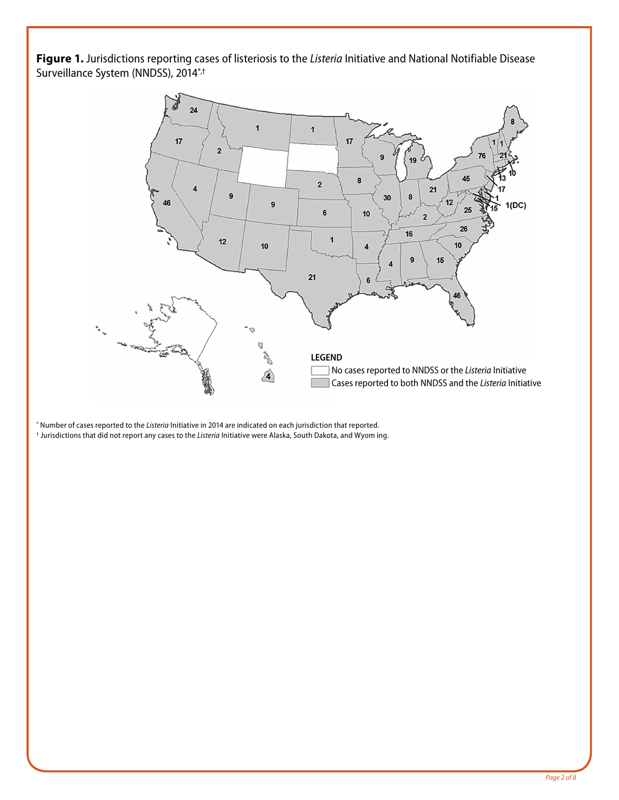**Figure 1.** Jurisdictions reporting cases of listeriosis to the *Listeria* Initiative and National Notifiable Disease Surveillance System (NNDSS), 2014\*,†



\* Number of cases reported to the *Listeria* Initiative in 2014 are indicated on each jurisdiction that reported. † Jurisdictions that did not report any cases to the *Listeria* Initiative were Alaska, South Dakota, and Wyom ing.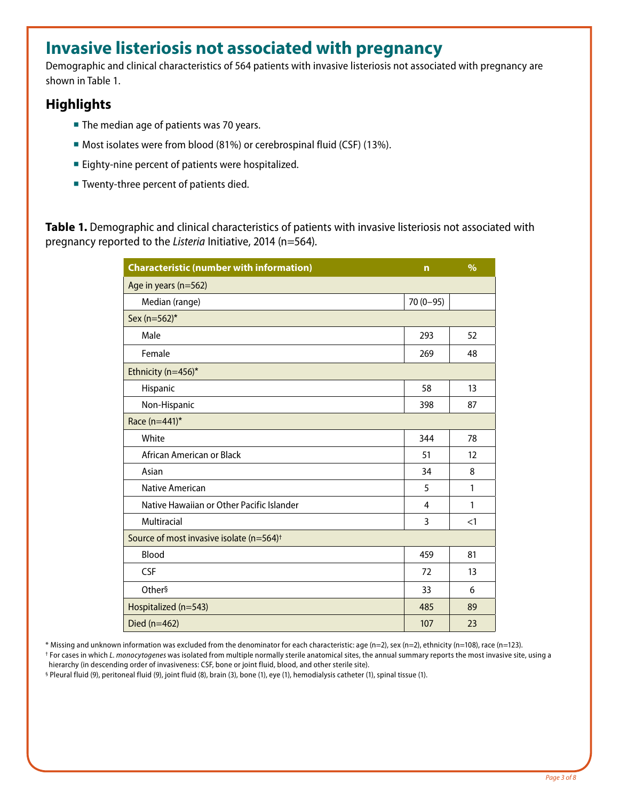# **Invasive listeriosis not associated with pregnancy**

Demographic and clinical characteristics of 564 patients with invasive listeriosis not associated with pregnancy are shown in Table 1.

### **Highlights**

- The median age of patients was 70 years.
- Most isolates were from blood (81%) or cerebrospinal fluid (CSF) (13%).
- **Eighty-nine percent of patients were hospitalized.**
- **Twenty-three percent of patients died.**

**Table 1.** Demographic and clinical characteristics of patients with invasive listeriosis not associated with pregnancy reported to the *Listeria* Initiative, 2014 (n=564).

| <b>Characteristic (number with information)</b>      | $\mathbf n$ | $\frac{9}{6}$ |
|------------------------------------------------------|-------------|---------------|
| Age in years (n=562)                                 |             |               |
| Median (range)                                       | $70(0-95)$  |               |
| Sex (n=562)*                                         |             |               |
| Male                                                 | 293         | 52            |
| Female                                               | 269         | 48            |
| Ethnicity (n=456)*                                   |             |               |
| Hispanic                                             | 58          | 13            |
| Non-Hispanic                                         | 398         | 87            |
| Race (n=441)*                                        |             |               |
| White                                                | 344         | 78            |
| African American or Black                            | 51          | 12            |
| Asian                                                | 34          | 8             |
| <b>Native American</b>                               | 5           | $\mathbf{1}$  |
| Native Hawaiian or Other Pacific Islander            | 4           | 1             |
| Multiracial                                          | 3           | <1            |
| Source of most invasive isolate (n=564) <sup>+</sup> |             |               |
| Blood                                                | 459         | 81            |
| <b>CSF</b>                                           | 72          | 13            |
| Other§                                               | 33          | 6             |
| Hospitalized (n=543)                                 | 485         | 89            |
| Died (n=462)                                         | 107         | 23            |

\* Missing and unknown information was excluded from the denominator for each characteristic: age (n=2), sex (n=2), ethnicity (n=108), race (n=123).

† For cases in which *L. monocytogenes* was isolated from multiple normally sterile anatomical sites, the annual summary reports the most invasive site, using a hierarchy (in descending order of invasiveness: CSF, bone or joint fluid, blood, and other sterile site).

§ Pleural fluid (9), peritoneal fluid (9), joint fluid (8), brain (3), bone (1), eye (1), hemodialysis catheter (1), spinal tissue (1).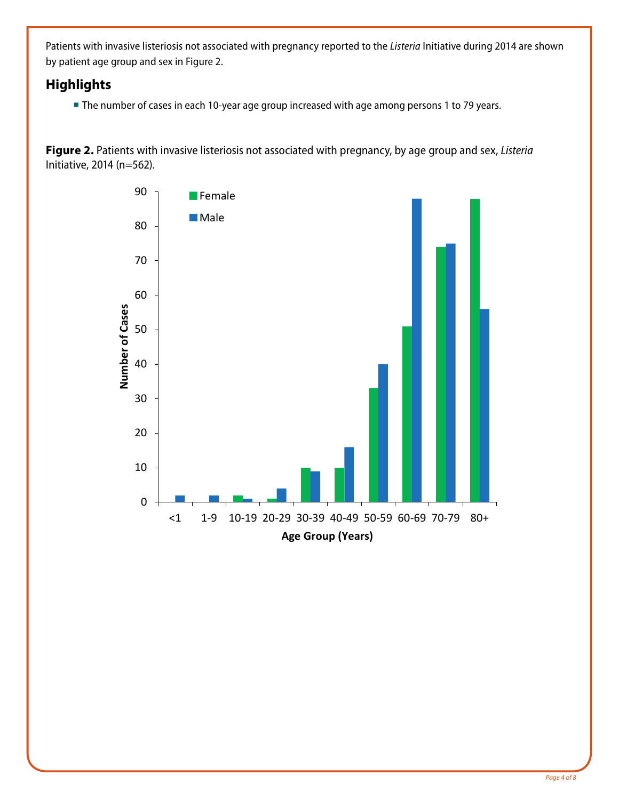Patients with invasive listeriosis not associated with pregnancy reported to the *Listeria* Initiative during 2014 are shown by patient age group and sex in Figure 2.

### **Highlights**

**The number of cases in each 10-year age group increased with age among persons 1 to 79 years.** 

**Figure 2.** Patients with invasive listeriosis not associated with pregnancy, by age group and sex, *Listeria* Initiative, 2014 (n=562).

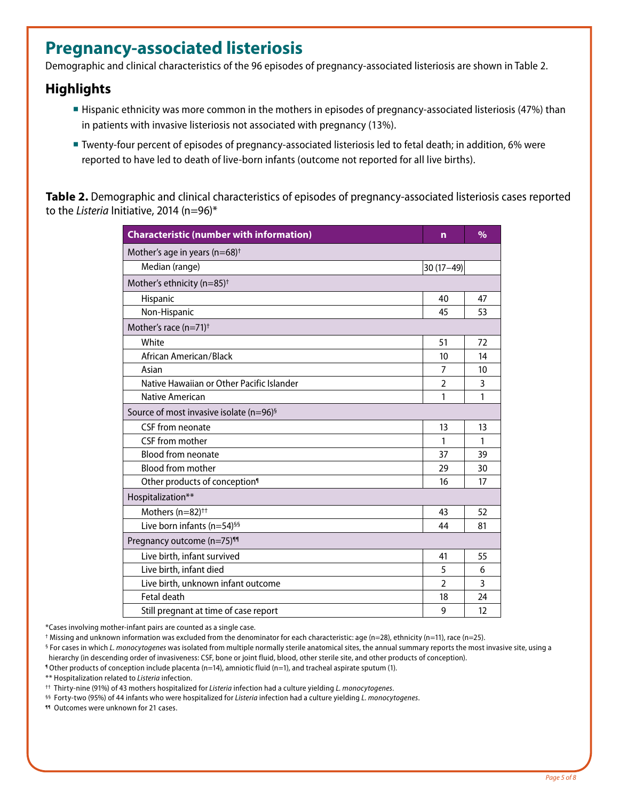## **Pregnancy-associated listeriosis**

Demographic and clinical characteristics of the 96 episodes of pregnancy-associated listeriosis are shown in Table 2.

#### **Highlights**

- Hispanic ethnicity was more common in the mothers in episodes of pregnancy-associated listeriosis (47%) than in patients with invasive listeriosis not associated with pregnancy (13%).
- Twenty-four percent of episodes of pregnancy-associated listeriosis led to fetal death; in addition, 6% were reported to have led to death of live-born infants (outcome not reported for all live births).

**Table 2.** Demographic and clinical characteristics of episodes of pregnancy-associated listeriosis cases reported to the *Listeria* Initiative, 2014 (n=96)\*

| <b>Characteristic (number with information)</b>     | n              | $\frac{0}{0}$ |
|-----------------------------------------------------|----------------|---------------|
| Mother's age in years ( $n=68$ ) <sup>+</sup>       |                |               |
| Median (range)                                      | $30(17-49)$    |               |
| Mother's ethnicity (n=85) <sup>+</sup>              |                |               |
| Hispanic                                            | 40             | 47            |
| Non-Hispanic                                        | 45             | 53            |
| Mother's race (n=71) <sup>+</sup>                   |                |               |
| White                                               | 51             | 72            |
| African American/Black                              | 10             | 14            |
| Asian                                               | 7              | 10            |
| Native Hawaiian or Other Pacific Islander           | $\overline{2}$ | 3             |
| Native American                                     | 1              | 1             |
| Source of most invasive isolate (n=96) <sup>§</sup> |                |               |
| CSF from neonate                                    | 13             | 13            |
| CSF from mother                                     | 1              | 1             |
| <b>Blood from neonate</b>                           | 37             | 39            |
| <b>Blood from mother</b>                            | 29             | 30            |
| Other products of conception <sup>1</sup>           | 16             | 17            |
| Hospitalization**                                   |                |               |
| Mothers (n=82) <sup>++</sup>                        | 43             | 52            |
| Live born infants (n=54) <sup>§§</sup>              | 44             | 81            |
| Pregnancy outcome (n=75) <sup>11</sup>              |                |               |
| Live birth, infant survived                         | 41             | 55            |
| Live birth, infant died                             | 5              | 6             |
| Live birth, unknown infant outcome                  | $\mathfrak{p}$ | 3             |
| Fetal death                                         | 18             | 24            |
| Still pregnant at time of case report               | 9              | 12            |

\*Cases involving mother-infant pairs are counted as a single case.

† Missing and unknown information was excluded from the denominator for each characteristic: age (n=28), ethnicity (n=11), race (n=25).

§ For cases in which *L. monocytogenes* was isolated from multiple normally sterile anatomical sites, the annual summary reports the most invasive site, using a hierarchy (in descending order of invasiveness: CSF, bone or joint fluid, blood, other sterile site, and other products of conception).

¶ Other products of conception include placenta (n=14), amniotic fluid (n=1), and tracheal aspirate sputum (1).

\*\* Hospitalization related to *Listeria* infection.

†† Thirty-nine (91%) of 43 mothers hospitalized for *Listeria* infection had a culture yielding *L. monocytogenes*.

§§ Forty-two (95%) of 44 infants who were hospitalized for *Listeria* infection had a culture yielding *L. monocytogenes*.

¶¶ Outcomes were unknown for 21 cases.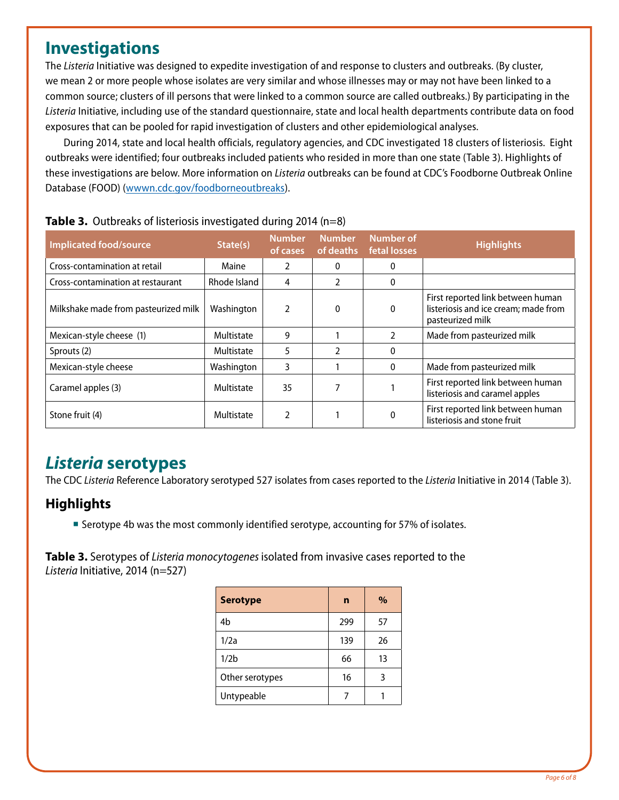## **Investigations**

The *Listeria* Initiative was designed to expedite investigation of and response to clusters and outbreaks. (By cluster, we mean 2 or more people whose isolates are very similar and whose illnesses may or may not have been linked to a common source; clusters of ill persons that were linked to a common source are called outbreaks.) By participating in the *Listeria* Initiative, including use of the standard questionnaire, state and local health departments contribute data on food exposures that can be pooled for rapid investigation of clusters and other epidemiological analyses.

During 2014, state and local health officials, regulatory agencies, and CDC investigated 18 clusters of listeriosis. Eight outbreaks were identified; four outbreaks included patients who resided in more than one state (Table 3). Highlights of these investigations are below. More information on *Listeria* outbreaks can be found at CDC's Foodborne Outbreak Online Database (FOOD) ([wwwn.cdc.gov/foodborneoutbreaks\)](http://wwwn.cdc.gov/foodborneoutbreaks).

| <b>Implicated food/source</b>        | State(s)     | <b>Number</b><br>of cases | <b>Number</b><br>of deaths | <b>Number of</b><br>fetal losses | <b>Highlights</b>                                                                             |  |
|--------------------------------------|--------------|---------------------------|----------------------------|----------------------------------|-----------------------------------------------------------------------------------------------|--|
| Cross-contamination at retail        | Maine        |                           | 0                          | 0                                |                                                                                               |  |
| Cross-contamination at restaurant    | Rhode Island | 4                         | 2                          | 0                                |                                                                                               |  |
| Milkshake made from pasteurized milk | Washington   |                           | 0                          | 0                                | First reported link between human<br>listeriosis and ice cream; made from<br>pasteurized milk |  |
| Mexican-style cheese (1)             | Multistate   | 9                         |                            |                                  | Made from pasteurized milk                                                                    |  |
| Sprouts (2)                          | Multistate   | 5                         | 2                          | 0                                |                                                                                               |  |
| Mexican-style cheese                 | Washington   | 3                         |                            | $\Omega$                         | Made from pasteurized milk                                                                    |  |
| Caramel apples (3)                   | Multistate   | 35                        |                            |                                  | First reported link between human<br>listeriosis and caramel apples                           |  |
| Stone fruit (4)                      | Multistate   | 2                         |                            |                                  | First reported link between human<br>listeriosis and stone fruit                              |  |

## *Listeria* **serotypes**

The CDC *Listeria* Reference Laboratory serotyped 527 isolates from cases reported to the *Listeria* Initiative in 2014 (Table 3).

### **Highlights**

**Serotype 4b was the most commonly identified serotype, accounting for 57% of isolates.** 

**Table 3.** Serotypes of *Listeria monocytogenes* isolated from invasive cases reported to the *Listeria* Initiative, 2014 (n=527)

| <b>Serotype</b>  | n   | $\%$ |  |
|------------------|-----|------|--|
| 4b               | 299 | 57   |  |
| 1/2a             | 139 | 26   |  |
| 1/2 <sub>b</sub> | 66  | 13   |  |
| Other serotypes  | 16  | 3    |  |
| Untypeable       |     |      |  |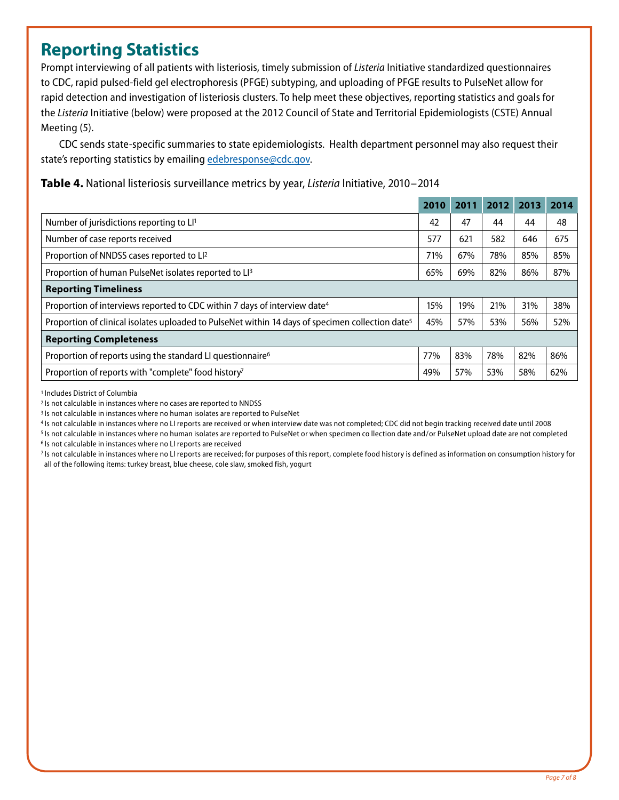## **Reporting Statistics**

Prompt interviewing of all patients with listeriosis, timely submission of *Listeria* Initiative standardized questionnaires to CDC, rapid pulsed-field gel electrophoresis (PFGE) subtyping, and uploading of PFGE results to PulseNet allow for rapid detection and investigation of listeriosis clusters. To help meet these objectives, reporting statistics and goals for the *Listeria* Initiative (below) were proposed at the 2012 Council of State and Territorial Epidemiologists (CSTE) Annual Meeting (5).

CDC sends state-specific summaries to state epidemiologists. Health department personnel may also request their state's reporting statistics by emailing [edebresponse@cdc.gov.](mailto:edebresponse%40cdc.gov?subject=)

**Table 4.** National listeriosis surveillance metrics by year, *Listeria* Initiative, 2010–2014

|                                                                                                              | 2010 | 2011 | 2012 | 2013 | 2014 |
|--------------------------------------------------------------------------------------------------------------|------|------|------|------|------|
| Number of jurisdictions reporting to LI <sup>1</sup>                                                         | 42   | 47   | 44   | 44   | 48   |
| Number of case reports received                                                                              | 577  | 621  | 582  | 646  | 675  |
| Proportion of NNDSS cases reported to LI <sup>2</sup>                                                        | 71%  | 67%  | 78%  | 85%  | 85%  |
| Proportion of human PulseNet isolates reported to LI <sup>3</sup>                                            | 65%  | 69%  | 82%  | 86%  | 87%  |
| <b>Reporting Timeliness</b>                                                                                  |      |      |      |      |      |
| Proportion of interviews reported to CDC within 7 days of interview date <sup>4</sup>                        | 15%  | 19%  | 21%  | 31%  | 38%  |
| Proportion of clinical isolates uploaded to PulseNet within 14 days of specimen collection date <sup>5</sup> | 45%  | 57%  | 53%  | 56%  | 52%  |
| <b>Reporting Completeness</b>                                                                                |      |      |      |      |      |
| Proportion of reports using the standard LI questionnaire <sup>6</sup>                                       | 77%  | 83%  | 78%  | 82%  | 86%  |
| Proportion of reports with "complete" food history <sup>7</sup>                                              | 49%  | 57%  | 53%  | 58%  | 62%  |

1 Includes District of Columbia

<sup>3</sup> Is not calculable in instances where no human isolates are reported to PulseNet

4 Is not calculable in instances where no LI reports are received or when interview date was not completed; CDC did not begin tracking received date until 2008

<sup>5</sup> Is not calculable in instances where no human isolates are reported to PulseNet or when specimen co llection date and/or PulseNet upload date are not completed 6 Is not calculable in instances where no LI reports are received

7 Is not calculable in instances where no LI reports are received; for purposes of this report, complete food history is defined as information on consumption history for all of the following items: turkey breast, blue cheese, cole slaw, smoked fish, yogurt

<sup>2</sup> Is not calculable in instances where no cases are reported to NNDSS